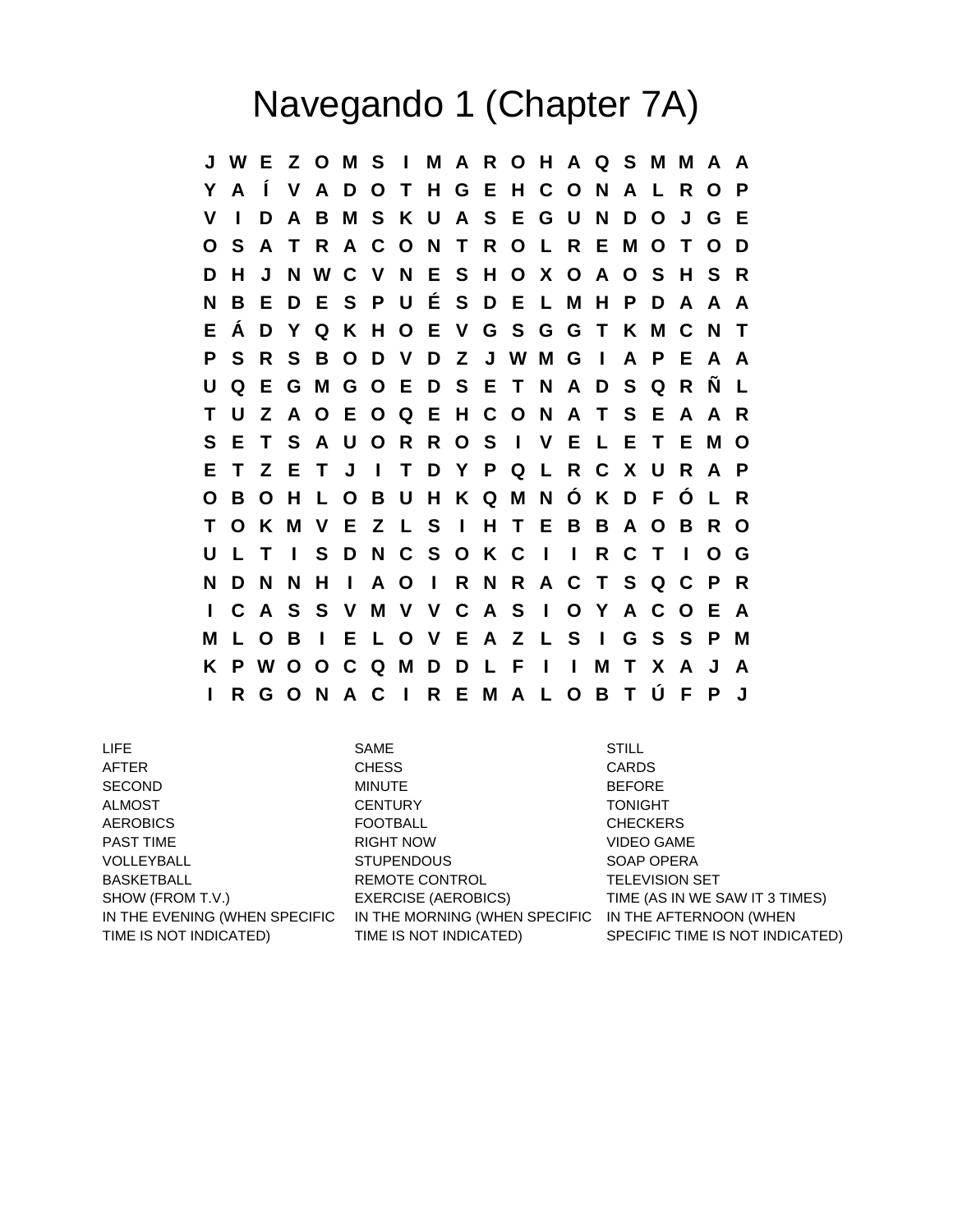## Navegando 1 (Chapter 7A)

**J W E Z O M S I M A R O H A Q S M M A A Y A Í V A D O T H G E H C O N A L R O P V I D A B M S K U A S E G U N D O J G E O S A T R A C O N T R O L R E M O T O D D H J N W C V N E S H O X O A O S H S R N B E D E S P U É S D E L M H P D A A A E Á D Y Q K H O E V G S G G T K M C N T P S R S B O D V D Z J W M G I A P E A A U Q E G M G O E D S E T N A D S Q R Ñ L T U Z A O E O Q E H C O N A T S E A A R S E T S A U O R R O S I V E L E T E M O E T Z E T J I T D Y P Q L R C X U R A P O B O H L O B U H K Q M N Ó K D F Ó L R T O K M V E Z L S I H T E B B A O B R O U L T I S D N C S O K C I I R C T I O G N D N N H I A O I R N R A C T S Q C P R I C A S S V M V V C A S I O Y A C O E A M L O B I E L O V E A Z L S I G S S P M K P W O O C Q M D D L F I I M T X A J A I R G O N A C I R E M A L O B T Ú F P J**

LIFE SAME STILL TIME IS NOT INDICATED)

AFTER CHESS CARDS SECOND MINUTE BEFORE ALMOST **CENTURY** CENTURY TONIGHT AEROBICS FOOTBALL CHECKERS PAST TIME **EXAMPLE 2018 THE RIGHT NOW CONSIDER A RIGHT NOW CONSIDER** A VIDEO GAME VOLLEYBALL STUPENDOUS SOAP OPERA BASKETBALL **REMOTE CONTROL SET ALL SETTINGS** REMOTE CONTROL **TELEVISION SET** SHOW (FROM T.V.) EXERCISE (AEROBICS) TIME (AS IN WE SAW IT 3 TIMES) IN THE EVENING (WHEN SPECIFIC  $\;$  IN THE MORNING (WHEN SPECIFIC  $\;$  IN THE AFTERNOON (WHEN TIME IS NOT INDICATED)

SPECIFIC TIME IS NOT INDICATED)